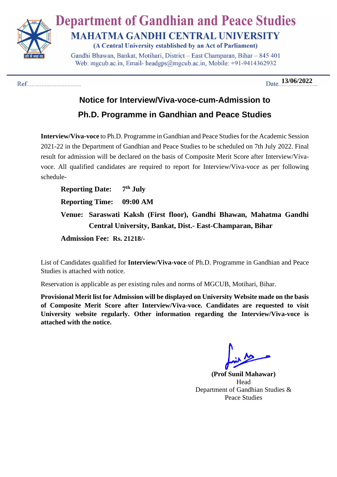

## **Department of Gandhian and Peace Studies MAHATMA GANDHI CENTRAL UNIVERSITY**

(A Central University established by an Act of Parliament)

Gandhi Bhawan, Bankat, Motihari, District - East Champaran, Bihar - 845 401 Web: mgcub.ac.in, Email- headgps@mgcub.ac.in, Mobile: +91-9414362932

 **13/06/2022**

# **Notice for Interview/Viva-voce-cum-Admission to**

### **Ph.D. Programme in Gandhian and Peace Studies**

**Interview/Viva-voce** to Ph.D. Programme in Gandhian and Peace Studies for the Academic Session 2021-22 in the Department of Gandhian and Peace Studies to be scheduled on 7th July 2022. Final result for admission will be declared on the basis of Composite Merit Score after Interview/Vivavoce. All qualified candidates are required to report for Interview/Viva-voce as per following schedule-

**Reporting Date: 7 th July Reporting Time: 09:00 AM Venue: Saraswati Kaksh (First floor), Gandhi Bhawan, Mahatma Gandhi Central University, Bankat, Dist.- East-Champaran, Bihar Admission Fee: Rs. 21218/-**

List of Candidates qualified for **Interview/Viva-voce** of Ph.D. Programme in Gandhian and Peace Studies is attached with notice.

Reservation is applicable as per existing rules and norms of MGCUB, Motihari, Bihar.

**Provisional Merit list for Admission will be displayed on University Website made on the basis of Composite Merit Score after Interview/Viva-voce. Candidates are requested to visit University website regularly. Other information regarding the Interview/Viva-voce is attached with the notice.** 

**(Prof Sunil Mahawar)** Head Department of Gandhian Studies & Peace Studies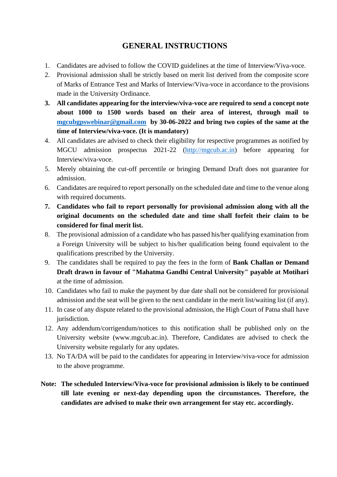#### **GENERAL INSTRUCTIONS**

- 1. Candidates are advised to follow the COVID guidelines at the time of Interview/Viva-voce.
- 2. Provisional admission shall be strictly based on merit list derived from the composite score of Marks of Entrance Test and Marks of Interview/Viva-voce in accordance to the provisions made in the University Ordinance.
- **3. All candidates appearing for the interview/viva-voce are required to send a concept note about 1000 to 1500 words based on their area of interest, through mail to [mgcubgpswebinar@gmail.com](mailto:mgcubgpswebinar@gmail.com) by 30-06-2022 and bring two copies of the same at the time of Interview/viva-voce. (It is mandatory)**
- 4. All candidates are advised to check their eligibility for respective programmes as notified by MGCU admission prospectus 2021-22 [\(http://mgcub.ac.in\)](http://mgcub.ac.in/) before appearing for Interview/viva-voce.
- 5. Merely obtaining the cut-off percentile or bringing Demand Draft does not guarantee for admission.
- 6. Candidates are required to report personally on the scheduled date and time to the venue along with required documents.
- **7. Candidates who fail to report personally for provisional admission along with all the original documents on the scheduled date and time shall forfeit their claim to be considered for final merit list.**
- 8. The provisional admission of a candidate who has passed his/her qualifying examination from a Foreign University will be subject to his/her qualification being found equivalent to the qualifications prescribed by the University.
- 9. The candidates shall be required to pay the fees in the form of **Bank Challan or Demand Draft drawn in favour of "Mahatma Gandhi Central University" payable at Motihari** at the time of admission.
- 10. Candidates who fail to make the payment by due date shall not be considered for provisional admission and the seat will be given to the next candidate in the merit list/waiting list (if any).
- 11. In case of any dispute related to the provisional admission, the High Court of Patna shall have jurisdiction.
- 12. Any addendum/corrigendum/notices to this notification shall be published only on the University website (www.mgcub.ac.in). Therefore, Candidates are advised to check the University website regularly for any updates.
- 13. No TA/DA will be paid to the candidates for appearing in Interview/viva-voce for admission to the above programme.
- **Note: The scheduled Interview/Viva-voce for provisional admission is likely to be continued till late evening or next-day depending upon the circumstances. Therefore, the candidates are advised to make their own arrangement for stay etc. accordingly.**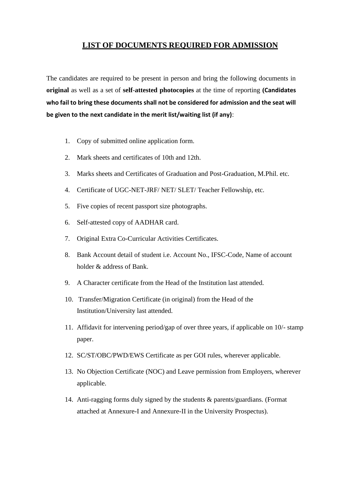#### **LIST OF DOCUMENTS REQUIRED FOR ADMISSION**

The candidates are required to be present in person and bring the following documents in **original** as well as a set of **self**-**attested photocopies** at the time of reporting **(Candidates who fail to bring these documents shall not be considered for admission and the seat will be given to the next candidate in the merit list/waiting list (if any)**:

- 1. Copy of submitted online application form.
- 2. Mark sheets and certificates of 10th and 12th.
- 3. Marks sheets and Certificates of Graduation and Post-Graduation, M.Phil. etc.
- 4. Certificate of UGC-NET-JRF/ NET/ SLET/ Teacher Fellowship, etc.
- 5. Five copies of recent passport size photographs.
- 6. Self-attested copy of AADHAR card.
- 7. Original Extra Co-Curricular Activities Certificates.
- 8. Bank Account detail of student i.e. Account No., IFSC-Code, Name of account holder & address of Bank.
- 9. A Character certificate from the Head of the Institution last attended.
- 10. Transfer/Migration Certificate (in original) from the Head of the Institution/University last attended.
- 11. Affidavit for intervening period/gap of over three years, if applicable on 10/- stamp paper.
- 12. SC/ST/OBC/PWD/EWS Certificate as per GOI rules, wherever applicable.
- 13. No Objection Certificate (NOC) and Leave permission from Employers, wherever applicable.
- 14. Anti-ragging forms duly signed by the students & parents/guardians. (Format attached at Annexure-I and Annexure-II in the University Prospectus).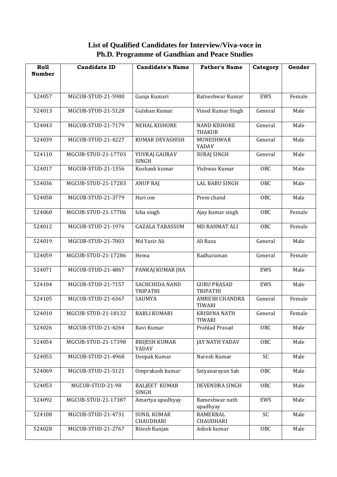**List of Qualified Candidates for Interview/Viva-voce in Ph.D. Programme of Gandhian and Peace Studies**

| Roll<br><b>Number</b> | <b>Candidate ID</b> | <b>Candidate's Name</b>              | <b>Father's Name</b>                  | Category        | Gender |
|-----------------------|---------------------|--------------------------------------|---------------------------------------|-----------------|--------|
|                       |                     |                                      |                                       |                 |        |
| 524057                | MGCUB-STUD-21-5980  | Gunja Kumari                         | Ratneshwar Kumar                      | EWS             | Female |
|                       |                     |                                      |                                       |                 |        |
| 524013                | MGCUB-STUD-21-5128  | Gulshan Kumar                        | Vinod Kumar Singh                     | General         | Male   |
| 524043                | MGCUB-STUD-21-7179  | <b>NEHAL KISHORE</b>                 | <b>NAND KISHORE</b><br><b>THAKUR</b>  | General         | Male   |
| 524039                | MGCUB-STUD-21-4227  | KUMAR DEVASHISH                      | MUNESHWAR<br>YADAV                    | General         | Male   |
| 524110                | MGCUB-STUD-21-17703 | YUVRAJ GAURAV<br><b>SINGH</b>        | SURAJ SINGH                           | General         | Male   |
| 524017                | MGCUB-STUD-21-1356  | Kushank kumar                        | Vishwas Kumar                         | OBC             | Male   |
| 524036                | MGCUB-STUD-21-17283 | <b>ANUP RAJ</b>                      | <b>LAL BABU SINGH</b>                 | OBC             | Male   |
| 524058                | MGCUB-STUD-21-3779  | Hari om                              | Prem chand                            | <b>OBC</b>      | Male   |
| 524060                | MGCUB-STUD-21-17706 | Isha singh                           | Ajay kumar singh                      | OBC             | Female |
| 524012                | MGCUB-STUD-21-1976  | <b>GAZALA TABASSUM</b>               | <b>MD RAHMAT ALI</b>                  | OBC             | Female |
| 524019                | MGCUB-STUD-21-7003  | Md Yasir Ali                         | Ali Raza                              | General         | Male   |
| 524059                | MGCUB-STUD-21-17286 | Hema                                 | Radharaman                            | General         | Female |
| 524071                | MGCUB-STUD-21-4867  | PANKAJ KUMAR JHA                     |                                       | EWS             | Male   |
| 524104                | MGCUB-STUD-21-7157  | SACHCHIDA NAND<br>TRIPATHI           | <b>GURU PRASAD</b><br><b>TRIPATHI</b> | EWS             | Male   |
| 524105                | MGCUB-STUD-21-6367  | SAUMYA                               | <b>AMRESH CHANDRA</b><br>TIWARI       | General         | Female |
| 524010                | MGCUB-STUD-21-18132 | <b>BABLI KUMARI</b>                  | KRISHNA NATH<br>TIWARI                | General         | Female |
| 524026                | MGCUB-STUD-21-4264  | Ravi Kumar                           | Prahlad Prasad                        | OBC             | Male   |
| 524054                | MGCUB-STUD-21-17398 | <b>BRIJESH KUMAR</b><br>YADAV        | JAY NATH YADAV                        | <b>OBC</b>      | Male   |
| 524055                | MGCUB-STUD-21-4968  | Deepak Kumar                         | Naresh Kumar                          | SC              | Male   |
| 524069                | MGCUB-STUD-21-5121  | Omprakash kumar                      | Satyanarayan Sah                      | <b>OBC</b>      | Male   |
| 524053                | MGCUB-STUD-21-98    | <b>BALJEET KUMAR</b><br><b>SINGH</b> | DEVENDRA SINGH                        | <b>OBC</b>      | Male   |
| 524092                | MGCUB-STUD-21-17387 | Amartya upadhyay                     | Rameshwar nath<br>upadhyay            | EWS             | Male   |
| 524108                | MGCUB-STUD-21-4731  | <b>SUNIL KUMAR</b><br>CHAUDHARI      | <b>RAMEKBAL</b><br>CHAUDHARI          | $\overline{SC}$ | Male   |
| 524028                | MGCUB-STUD-21-2767  | Ritesh Ranjan                        | Ashok kumar                           | <b>OBC</b>      | Male   |